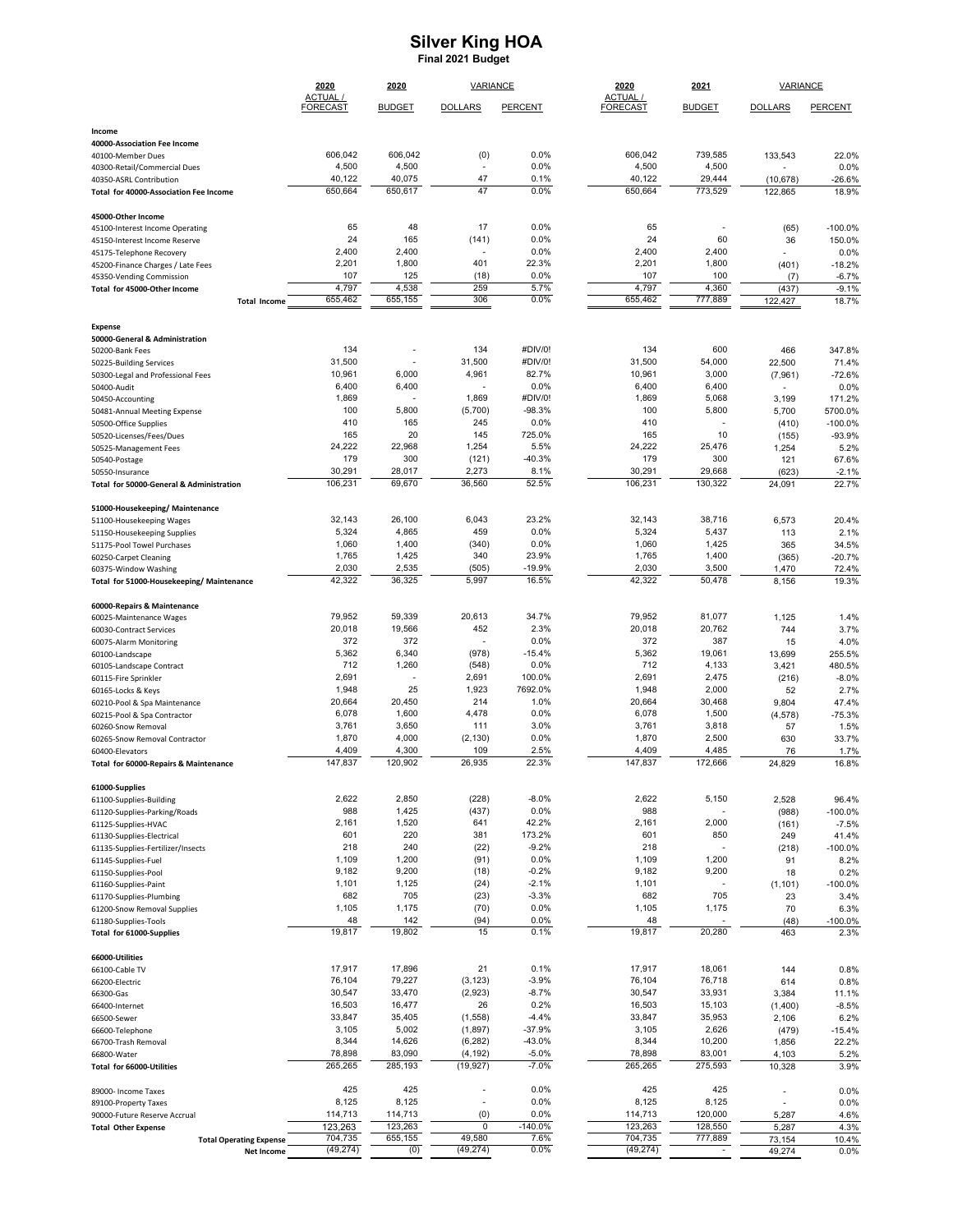## **Silver King HOA Pinal 2021 Budget Silver King HOA Final 2021 Budget**

|                                                             | 2020                        | 2020              | <b>VARIANCE</b>         |                     | 2020                        | 2021                     | <b>VARIANCE</b>          |                    |  |
|-------------------------------------------------------------|-----------------------------|-------------------|-------------------------|---------------------|-----------------------------|--------------------------|--------------------------|--------------------|--|
|                                                             | ACTUAL /<br><b>FORECAST</b> | <b>BUDGET</b>     | <b>DOLLARS</b>          | <b>PERCENT</b>      | ACTUAL /<br><b>FORECAST</b> | <b>BUDGET</b>            | <b>DOLLARS</b>           | PERCENT            |  |
| Income                                                      |                             |                   |                         |                     |                             |                          |                          |                    |  |
| 40000-Association Fee Income                                |                             |                   |                         |                     |                             |                          |                          |                    |  |
| 40100-Member Dues<br>40300-Retail/Commercial Dues           | 606,042<br>4,500            | 606,042<br>4,500  | (0)<br>÷,               | 0.0%<br>0.0%        | 606,042<br>4,500            | 739,585<br>4,500         | 133,543                  | 22.0%<br>0.0%      |  |
| 40350-ASRL Contribution                                     | 40,122                      | 40,075            | 47                      | 0.1%                | 40,122                      | 29,444                   | (10, 678)                | $-26.6%$           |  |
| Total for 40000-Association Fee Income                      | 650,664                     | 650,617           | 47                      | 0.0%                | 650,664                     | 773,529                  | 122,865                  | 18.9%              |  |
| 45000-Other Income                                          |                             |                   |                         |                     |                             |                          |                          |                    |  |
| 45100-Interest Income Operating                             | 65                          | 48                | 17                      | 0.0%                | 65                          | $\overline{\phantom{a}}$ | (65)                     | $-100.0%$          |  |
| 45150-Interest Income Reserve<br>45175-Telephone Recovery   | 24<br>2,400                 | 165<br>2,400      | (141)                   | 0.0%<br>0.0%        | 24<br>2,400                 | 60<br>2,400              | 36                       | 150.0%<br>0.0%     |  |
| 45200-Finance Charges / Late Fees                           | 2,201                       | 1,800             | 401                     | 22.3%               | 2,201                       | 1,800                    | (401)                    | $-18.2%$           |  |
| 45350-Vending Commission                                    | 107                         | 125               | (18)                    | 0.0%                | 107                         | 100                      | (7)                      | $-6.7%$            |  |
| Total for 45000-Other Income<br><b>Total Income</b>         | 4,797<br>655,462            | 4,538<br>655,155  | 259<br>306              | 5.7%<br>0.0%        | 4,797<br>655,462            | 4,360<br>777,889         | (437)<br>122,427         | $-9.1%$<br>18.7%   |  |
|                                                             |                             |                   |                         |                     |                             |                          |                          |                    |  |
| <b>Expense</b>                                              |                             |                   |                         |                     |                             |                          |                          |                    |  |
| 50000-General & Administration<br>50200-Bank Fees           | 134                         | J.                | 134                     | #DIV/0!             | 134                         | 600                      | 466                      | 347.8%             |  |
| 50225-Building Services                                     | 31,500                      |                   | 31,500                  | #DIV/0!             | 31,500                      | 54,000                   | 22,500                   | 71.4%              |  |
| 50300-Legal and Professional Fees                           | 10,961                      | 6,000             | 4,961                   | 82.7%               | 10,961                      | 3,000                    | (7,961)                  | $-72.6%$           |  |
| 50400-Audit                                                 | 6,400                       | 6,400             |                         | 0.0%                | 6,400                       | 6,400                    |                          | 0.0%               |  |
| 50450-Accounting<br>50481-Annual Meeting Expense            | 1,869<br>100                | 5,800             | 1,869<br>(5,700)        | #DIV/0!<br>$-98.3%$ | 1,869<br>100                | 5,068<br>5,800           | 3,199<br>5,700           | 171.2%<br>5700.0%  |  |
| 50500-Office Supplies                                       | 410                         | 165               | 245                     | 0.0%                | 410                         |                          | (410)                    | $-100.0%$          |  |
| 50520-Licenses/Fees/Dues                                    | 165                         | 20                | 145                     | 725.0%              | 165                         | 10                       | (155)                    | -93.9%             |  |
| 50525-Management Fees                                       | 24,222                      | 22,968            | 1,254                   | 5.5%                | 24,222                      | 25,476                   | 1,254                    | 5.2%               |  |
| 50540-Postage<br>50550-Insurance                            | 179<br>30,291               | 300<br>28,017     | (121)<br>2,273          | $-40.3%$<br>8.1%    | 179<br>30,291               | 300<br>29,668            | 121<br>(623)             | 67.6%<br>$-2.1%$   |  |
| Total for 50000-General & Administration                    | 106,231                     | 69,670            | 36,560                  | 52.5%               | 106,231                     | 130.322                  | 24,091                   | 22.7%              |  |
| 51000-Housekeeping/Maintenance                              |                             |                   |                         |                     |                             |                          |                          |                    |  |
| 51100-Housekeeping Wages                                    | 32,143                      | 26,100            | 6,043                   | 23.2%               | 32,143                      | 38,716                   | 6,573                    | 20.4%              |  |
| 51150-Housekeeping Supplies                                 | 5,324                       | 4,865             | 459                     | 0.0%                | 5,324                       | 5,437                    | 113                      | 2.1%               |  |
| 51175-Pool Towel Purchases                                  | 1,060<br>1,765              | 1,400<br>1,425    | (340)<br>340            | 0.0%<br>23.9%       | 1,060<br>1,765              | 1,425<br>1,400           | 365                      | 34.5%              |  |
| 60250-Carpet Cleaning<br>60375-Window Washing               | 2,030                       | 2,535             | (505)                   | -19.9%              | 2,030                       | 3,500                    | (365)<br>1,470           | $-20.7%$<br>72.4%  |  |
| Total for 51000-Housekeeping/Maintenance                    | 42,322                      | 36,325            | 5,997                   | 16.5%               | 42,322                      | 50,478                   | 8,156                    | 19.3%              |  |
| 60000-Repairs & Maintenance                                 |                             |                   |                         |                     |                             |                          |                          |                    |  |
| 60025-Maintenance Wages                                     | 79,952                      | 59,339            | 20,613                  | 34.7%               | 79,952                      | 81,077                   | 1,125                    | 1.4%               |  |
| 60030-Contract Services                                     | 20,018                      | 19,566            | 452                     | 2.3%                | 20,018                      | 20,762                   | 744                      | 3.7%               |  |
| 60075-Alarm Monitoring                                      | 372<br>5,362                | 372<br>6,340      | $\blacksquare$<br>(978) | 0.0%<br>$-15.4%$    | 372<br>5,362                | 387<br>19,061            | 15<br>13,699             | 4.0%<br>255.5%     |  |
| 60100-Landscape<br>60105-Landscape Contract                 | 712                         | 1,260             | (548)                   | 0.0%                | 712                         | 4,133                    | 3,421                    | 480.5%             |  |
| 60115-Fire Sprinkler                                        | 2,691                       | í,                | 2,691                   | 100.0%              | 2,691                       | 2,475                    | (216)                    | $-8.0%$            |  |
| 60165-Locks & Keys                                          | 1,948                       | 25                | 1,923                   | 7692.0%             | 1,948                       | 2,000                    | 52                       | 2.7%               |  |
| 60210-Pool & Spa Maintenance<br>60215-Pool & Spa Contractor | 20,664<br>6,078             | 20,450<br>1,600   | 214<br>4,478            | 1.0%<br>0.0%        | 20,664<br>6,078             | 30,468<br>1,500          | 9,804<br>(4, 578)        | 47.4%<br>$-75.3%$  |  |
| 60260-Snow Removal                                          | 3,761                       | 3,650             | 111                     | 3.0%                | 3,761                       | 3,818                    | 57                       | 1.5%               |  |
| 60265-Snow Removal Contractor                               | 1,870                       | 4,000             | (2, 130)                | 0.0%                | 1,870                       | 2,500                    | 630                      | 33.7%              |  |
| 60400-Elevators                                             | 4,409                       | 4,300             | 109                     | 2.5%                | 4,409                       | 4,485                    | 76                       | 1.7%               |  |
| Total for 60000-Repairs & Maintenance                       | 147,837                     | 120,902           | 26,935                  | 22.3%               | 147,837                     | 172,666                  | 24,829                   | 16.8%              |  |
| 61000-Supplies                                              |                             |                   |                         |                     |                             |                          |                          |                    |  |
| 61100-Supplies-Building<br>61120-Supplies-Parking/Roads     | 2,622<br>988                | 2,850<br>1,425    | (228)<br>(437)          | $-8.0\%$<br>0.0%    | 2,622<br>988                | 5,150                    | 2,528<br>(988)           | 96.4%<br>$-100.0%$ |  |
| 61125-Supplies-HVAC                                         | 2,161                       | 1,520             | 641                     | 42.2%               | 2,161                       | 2,000                    | (161)                    | $-7.5%$            |  |
| 61130-Supplies-Electrical                                   | 601                         | 220               | 381                     | 173.2%              | 601                         | 850                      | 249                      | 41.4%              |  |
| 61135-Supplies-Fertilizer/Insects                           | 218                         | 240               | (22)                    | $-9.2%$<br>0.0%     | 218                         |                          | (218)                    | $-100.0%$          |  |
| 61145-Supplies-Fuel<br>61150-Supplies-Pool                  | 1,109<br>9,182              | 1,200<br>9,200    | (91)<br>(18)            | $-0.2%$             | 1,109<br>9,182              | 1,200<br>9,200           | 91<br>18                 | 8.2%<br>0.2%       |  |
| 61160-Supplies-Paint                                        | 1,101                       | 1,125             | (24)                    | $-2.1%$             | 1,101                       | $\overline{a}$           | (1, 101)                 | $-100.0%$          |  |
| 61170-Supplies-Plumbing                                     | 682                         | 705               | (23)                    | $-3.3%$             | 682                         | 705                      | 23                       | 3.4%               |  |
| 61200-Snow Removal Supplies                                 | 1,105                       | 1,175             | (70)                    | 0.0%                | 1,105                       | 1,175                    | 70                       | 6.3%               |  |
| 61180-Supplies-Tools<br>Total for 61000-Supplies            | 48<br>19,817                | 142<br>19,802     | (94)<br>15              | 0.0%<br>0.1%        | 48<br>19,817                | 20,280                   | (48)<br>463              | $-100.0%$<br>2.3%  |  |
|                                                             |                             |                   |                         |                     |                             |                          |                          |                    |  |
| 66000-Utilities<br>66100-Cable TV                           | 17,917                      | 17,896            | 21                      | 0.1%                | 17,917                      | 18,061                   | 144                      | 0.8%               |  |
| 66200-Electric                                              | 76,104                      | 79,227            | (3, 123)                | $-3.9%$             | 76,104                      | 76,718                   | 614                      | 0.8%               |  |
| 66300-Gas                                                   | 30,547                      | 33,470            | (2,923)                 | $-8.7%$             | 30,547                      | 33,931                   | 3,384                    | 11.1%              |  |
| 66400-Internet<br>66500-Sewer                               | 16,503<br>33,847            | 16,477<br>35,405  | 26<br>(1, 558)          | 0.2%<br>-4.4%       | 16,503<br>33,847            | 15,103<br>35,953         | (1,400)<br>2,106         | $-8.5%$<br>6.2%    |  |
| 66600-Telephone                                             | 3,105                       | 5,002             | (1,897)                 | $-37.9%$            | 3,105                       | 2,626                    | (479)                    | $-15.4%$           |  |
| 66700-Trash Removal                                         | 8,344                       | 14,626            | (6, 282)                | -43.0%              | 8,344                       | 10,200                   | 1,856                    | 22.2%              |  |
| 66800-Water<br>Total for 66000-Utilities                    | 78,898<br>265,265           | 83,090<br>285,193 | (4, 192)<br>(19, 927)   | $-5.0%$<br>$-7.0%$  | 78,898<br>265,265           | 83,001<br>275,593        | 4,103<br>10,328          | 5.2%<br>3.9%       |  |
|                                                             |                             |                   |                         |                     |                             |                          |                          |                    |  |
| 89000- Income Taxes                                         | 425                         | 425               | L,                      | 0.0%                | 425                         | 425                      | $\overline{\phantom{a}}$ | 0.0%               |  |
| 89100-Property Taxes<br>90000-Future Reserve Accrual        | 8,125<br>114,713            | 8,125<br>114,713  | $\blacksquare$<br>(0)   | 0.0%<br>0.0%        | 8,125<br>114,713            | 8,125<br>120,000         | $\overline{a}$<br>5,287  | 0.0%<br>4.6%       |  |
| <b>Total Other Expense</b>                                  | 123,263                     | 123,263           | 0                       | $-140.0%$           | 123,263                     | 128,550                  | 5,287                    | 4.3%               |  |
| <b>Total Operating Expense</b>                              | 704,735                     | 655,155           | 49,580                  | 7.6%                | 704,735                     | 777,889                  | 73,154                   | 10.4%              |  |
| Net Income                                                  | (49, 274)                   | (0)               | (49, 274)               | 0.0%                | (49, 274)                   | $\overline{\phantom{a}}$ | 49,274                   | 0.0%               |  |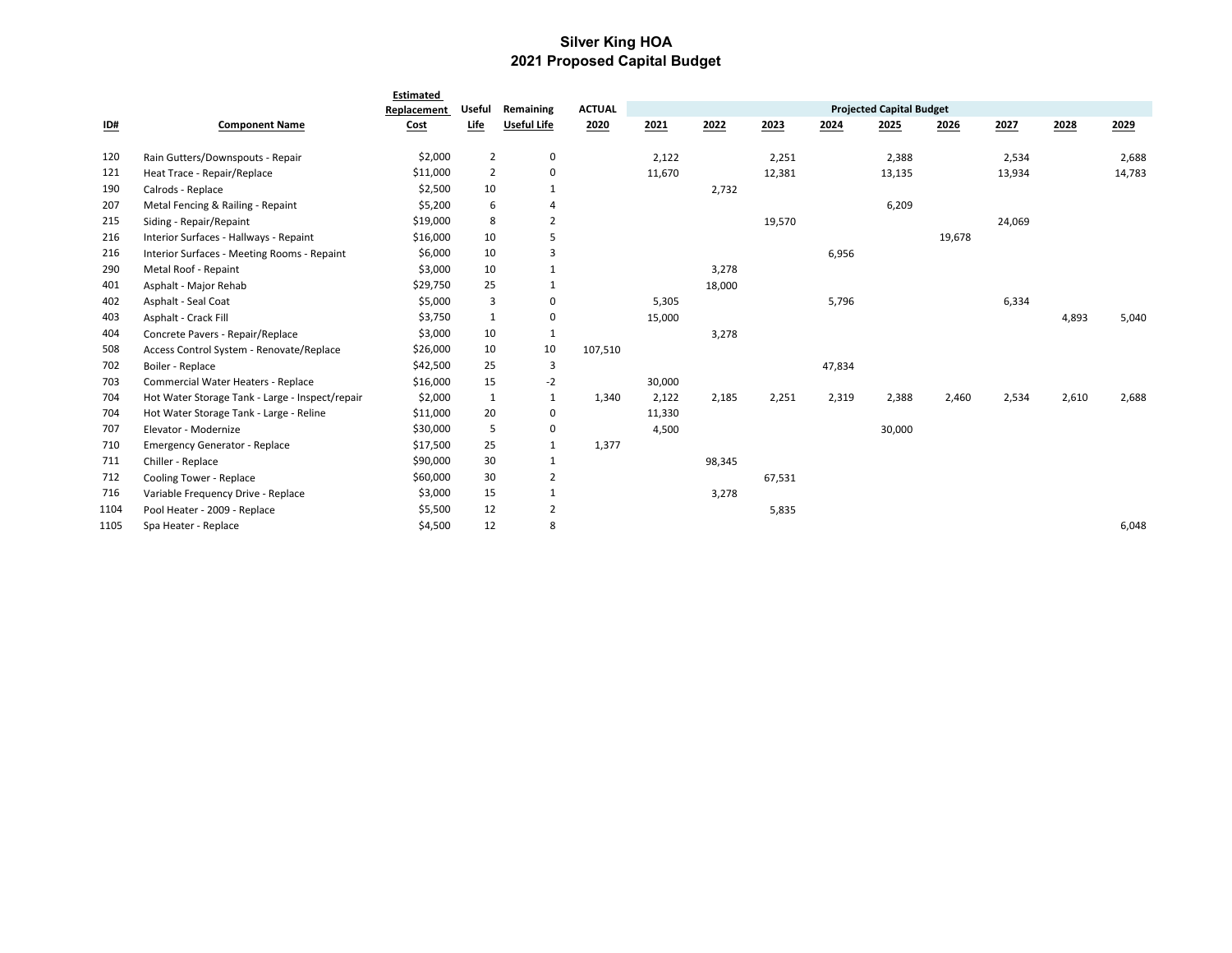## **Silver King HOA 2021 Proposed Capital Budget**

|                           |                                                 | Estimated   |                |                    |               |        |        |        |        |                                 |        |        |       |        |
|---------------------------|-------------------------------------------------|-------------|----------------|--------------------|---------------|--------|--------|--------|--------|---------------------------------|--------|--------|-------|--------|
|                           |                                                 | Replacement | <b>Useful</b>  | Remaining          | <b>ACTUAL</b> |        |        |        |        | <b>Projected Capital Budget</b> |        |        |       |        |
| $\underline{\mathsf{ID}}$ | <b>Component Name</b>                           | Cost        | Life           | <b>Useful Life</b> | 2020          | 2021   | 2022   | 2023   | 2024   | 2025                            | 2026   | 2027   | 2028  | 2029   |
| 120                       | Rain Gutters/Downspouts - Repair                | \$2,000     | $\overline{2}$ | $\mathbf 0$        |               | 2,122  |        | 2,251  |        | 2,388                           |        | 2,534  |       | 2,688  |
| 121                       | Heat Trace - Repair/Replace                     | \$11,000    | $\overline{2}$ | $\mathsf 0$        |               | 11,670 |        | 12,381 |        | 13,135                          |        | 13,934 |       | 14,783 |
| 190                       | Calrods - Replace                               | \$2,500     | 10             | $\mathbf{1}$       |               |        | 2,732  |        |        |                                 |        |        |       |        |
| 207                       | Metal Fencing & Railing - Repaint               | \$5,200     | 6              | $\overline{4}$     |               |        |        |        |        | 6,209                           |        |        |       |        |
| 215                       | Siding - Repair/Repaint                         | \$19,000    | 8              | $\overline{2}$     |               |        |        | 19,570 |        |                                 |        | 24,069 |       |        |
| 216                       | Interior Surfaces - Hallways - Repaint          | \$16,000    | 10             | 5                  |               |        |        |        |        |                                 | 19,678 |        |       |        |
| 216                       | Interior Surfaces - Meeting Rooms - Repaint     | \$6,000     | 10             | $\overline{3}$     |               |        |        |        | 6,956  |                                 |        |        |       |        |
| 290                       | Metal Roof - Repaint                            | \$3,000     | 10             | $\mathbf{1}$       |               |        | 3,278  |        |        |                                 |        |        |       |        |
| 401                       | Asphalt - Major Rehab                           | \$29,750    | 25             | 1                  |               |        | 18,000 |        |        |                                 |        |        |       |        |
| 402                       | Asphalt - Seal Coat                             | \$5,000     | 3              | 0                  |               | 5,305  |        |        | 5,796  |                                 |        | 6,334  |       |        |
| 403                       | Asphalt - Crack Fill                            | \$3,750     | 1              | 0                  |               | 15,000 |        |        |        |                                 |        |        | 4,893 | 5,040  |
| 404                       | Concrete Pavers - Repair/Replace                | \$3,000     | 10             | $\mathbf{1}$       |               |        | 3,278  |        |        |                                 |        |        |       |        |
| 508                       | Access Control System - Renovate/Replace        | \$26,000    | 10             | 10                 | 107,510       |        |        |        |        |                                 |        |        |       |        |
| 702                       | Boiler - Replace                                | \$42,500    | 25             | $\overline{3}$     |               |        |        |        | 47,834 |                                 |        |        |       |        |
| 703                       | Commercial Water Heaters - Replace              | \$16,000    | 15             | $-2$               |               | 30,000 |        |        |        |                                 |        |        |       |        |
| 704                       | Hot Water Storage Tank - Large - Inspect/repair | \$2,000     | $\mathbf{1}$   | $\mathbf{1}$       | 1,340         | 2,122  | 2,185  | 2,251  | 2,319  | 2,388                           | 2,460  | 2,534  | 2,610 | 2,688  |
| 704                       | Hot Water Storage Tank - Large - Reline         | \$11,000    | 20             | 0                  |               | 11,330 |        |        |        |                                 |        |        |       |        |
| 707                       | Elevator - Modernize                            | \$30,000    | 5              | 0                  |               | 4,500  |        |        |        | 30,000                          |        |        |       |        |
| 710                       | <b>Emergency Generator - Replace</b>            | \$17,500    | 25             | $\mathbf{1}$       | 1,377         |        |        |        |        |                                 |        |        |       |        |
| 711                       | Chiller - Replace                               | \$90,000    | 30             | 1                  |               |        | 98,345 |        |        |                                 |        |        |       |        |
| 712                       | Cooling Tower - Replace                         | \$60,000    | 30             | $\overline{2}$     |               |        |        | 67,531 |        |                                 |        |        |       |        |
| 716                       | Variable Frequency Drive - Replace              | \$3,000     | 15             | $\mathbf{1}$       |               |        | 3,278  |        |        |                                 |        |        |       |        |
| 1104                      | Pool Heater - 2009 - Replace                    | \$5,500     | 12             | 2                  |               |        |        | 5,835  |        |                                 |        |        |       |        |
| 1105                      | Spa Heater - Replace                            | \$4,500     | 12             | 8                  |               |        |        |        |        |                                 |        |        |       | 6,048  |